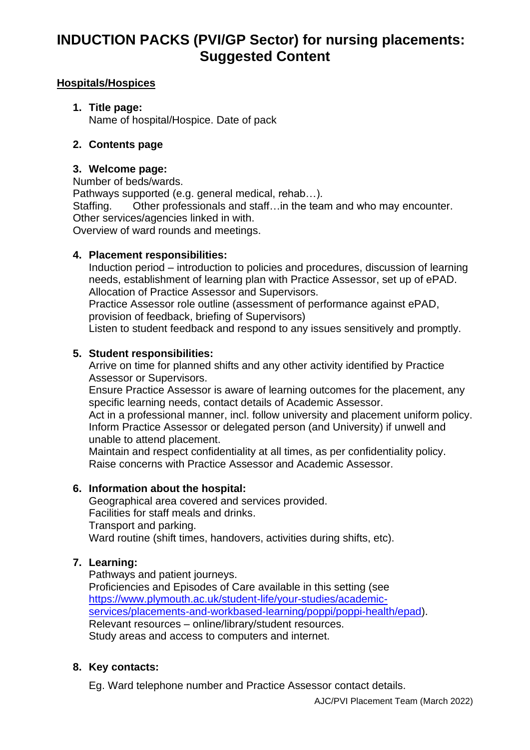## **Hospitals/Hospices**

## **1. Title page:**

Name of hospital/Hospice. Date of pack

## **2. Contents page**

## **3. Welcome page:**

Number of beds/wards.

Pathways supported (e.g. general medical, rehab…).

Staffing. Other professionals and staff…in the team and who may encounter. Other services/agencies linked in with.

Overview of ward rounds and meetings.

## **4. Placement responsibilities:**

Induction period – introduction to policies and procedures, discussion of learning needs, establishment of learning plan with Practice Assessor, set up of ePAD. Allocation of Practice Assessor and Supervisors.

Practice Assessor role outline (assessment of performance against ePAD, provision of feedback, briefing of Supervisors)

Listen to student feedback and respond to any issues sensitively and promptly.

## **5. Student responsibilities:**

Arrive on time for planned shifts and any other activity identified by Practice Assessor or Supervisors.

Ensure Practice Assessor is aware of learning outcomes for the placement, any specific learning needs, contact details of Academic Assessor.

Act in a professional manner, incl. follow university and placement uniform policy. Inform Practice Assessor or delegated person (and University) if unwell and unable to attend placement.

Maintain and respect confidentiality at all times, as per confidentiality policy. Raise concerns with Practice Assessor and Academic Assessor.

#### **6. Information about the hospital:**

Geographical area covered and services provided. Facilities for staff meals and drinks. Transport and parking. Ward routine (shift times, handovers, activities during shifts, etc).

## **7. Learning:**

Pathways and patient journeys. Proficiencies and Episodes of Care available in this setting (see [https://www.plymouth.ac.uk/student-life/your-studies/academic](https://www.plymouth.ac.uk/student-life/your-studies/academic-services/placements-and-workbased-learning/poppi/poppi-health/epad)[services/placements-and-workbased-learning/poppi/poppi-health/epad\)](https://www.plymouth.ac.uk/student-life/your-studies/academic-services/placements-and-workbased-learning/poppi/poppi-health/epad). Relevant resources – online/library/student resources. Study areas and access to computers and internet.

## **8. Key contacts:**

Eg. Ward telephone number and Practice Assessor contact details.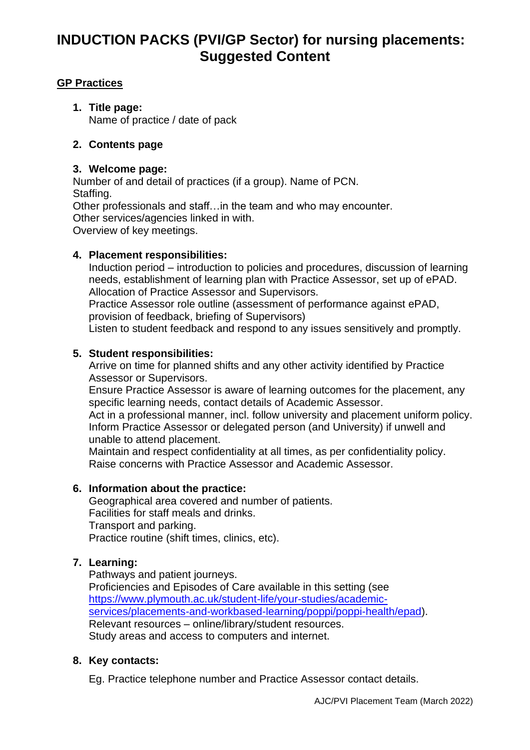## **GP Practices**

**1. Title page:** Name of practice / date of pack

## **2. Contents page**

#### **3. Welcome page:**

Number of and detail of practices (if a group). Name of PCN. Staffing. Other professionals and staff…in the team and who may encounter. Other services/agencies linked in with. Overview of key meetings.

#### **4. Placement responsibilities:**

Induction period – introduction to policies and procedures, discussion of learning needs, establishment of learning plan with Practice Assessor, set up of ePAD. Allocation of Practice Assessor and Supervisors.

Practice Assessor role outline (assessment of performance against ePAD, provision of feedback, briefing of Supervisors)

Listen to student feedback and respond to any issues sensitively and promptly.

#### **5. Student responsibilities:**

Arrive on time for planned shifts and any other activity identified by Practice Assessor or Supervisors.

Ensure Practice Assessor is aware of learning outcomes for the placement, any specific learning needs, contact details of Academic Assessor.

Act in a professional manner, incl. follow university and placement uniform policy. Inform Practice Assessor or delegated person (and University) if unwell and unable to attend placement.

Maintain and respect confidentiality at all times, as per confidentiality policy. Raise concerns with Practice Assessor and Academic Assessor.

#### **6. Information about the practice:**

Geographical area covered and number of patients. Facilities for staff meals and drinks. Transport and parking. Practice routine (shift times, clinics, etc).

## **7. Learning:**

Pathways and patient journeys. Proficiencies and Episodes of Care available in this setting (see [https://www.plymouth.ac.uk/student-life/your-studies/academic](https://www.plymouth.ac.uk/student-life/your-studies/academic-services/placements-and-workbased-learning/poppi/poppi-health/epad)[services/placements-and-workbased-learning/poppi/poppi-health/epad\)](https://www.plymouth.ac.uk/student-life/your-studies/academic-services/placements-and-workbased-learning/poppi/poppi-health/epad). Relevant resources – online/library/student resources. Study areas and access to computers and internet.

#### **8. Key contacts:**

Eg. Practice telephone number and Practice Assessor contact details.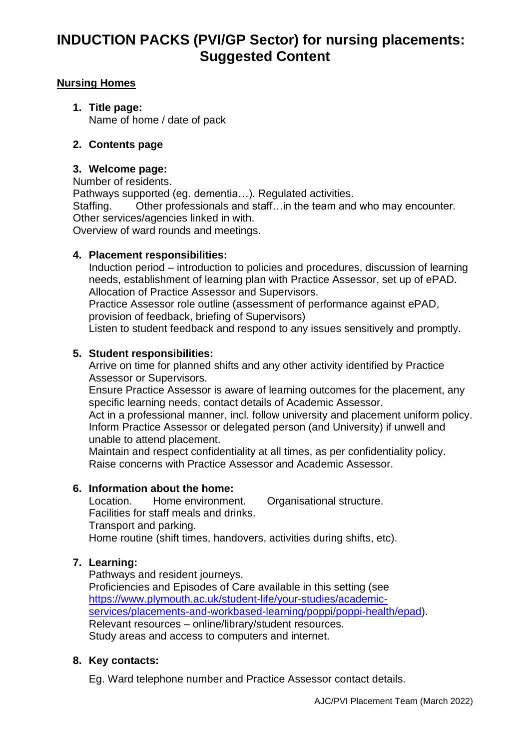## **Nursing Homes**

**1. Title page:** Name of home / date of pack

## **2. Contents page**

#### **3. Welcome page:**

Number of residents.

Pathways supported (eg. dementia…). Regulated activities. Staffing. Other professionals and staff…in the team and who may encounter. Other services/agencies linked in with. Overview of ward rounds and meetings.

#### **4. Placement responsibilities:**

Induction period – introduction to policies and procedures, discussion of learning needs, establishment of learning plan with Practice Assessor, set up of ePAD. Allocation of Practice Assessor and Supervisors.

Practice Assessor role outline (assessment of performance against ePAD, provision of feedback, briefing of Supervisors)

Listen to student feedback and respond to any issues sensitively and promptly.

#### **5. Student responsibilities:**

Arrive on time for planned shifts and any other activity identified by Practice Assessor or Supervisors.

Ensure Practice Assessor is aware of learning outcomes for the placement, any specific learning needs, contact details of Academic Assessor.

Act in a professional manner, incl. follow university and placement uniform policy. Inform Practice Assessor or delegated person (and University) if unwell and unable to attend placement.

Maintain and respect confidentiality at all times, as per confidentiality policy. Raise concerns with Practice Assessor and Academic Assessor.

#### **6. Information about the home:**

Location. Home environment. Organisational structure. Facilities for staff meals and drinks. Transport and parking. Home routine (shift times, handovers, activities during shifts, etc).

## **7. Learning:**

Pathways and resident journeys. Proficiencies and Episodes of Care available in this setting (see [https://www.plymouth.ac.uk/student-life/your-studies/academic](https://www.plymouth.ac.uk/student-life/your-studies/academic-services/placements-and-workbased-learning/poppi/poppi-health/epad)[services/placements-and-workbased-learning/poppi/poppi-health/epad\)](https://www.plymouth.ac.uk/student-life/your-studies/academic-services/placements-and-workbased-learning/poppi/poppi-health/epad). Relevant resources – online/library/student resources. Study areas and access to computers and internet.

#### **8. Key contacts:**

Eg. Ward telephone number and Practice Assessor contact details.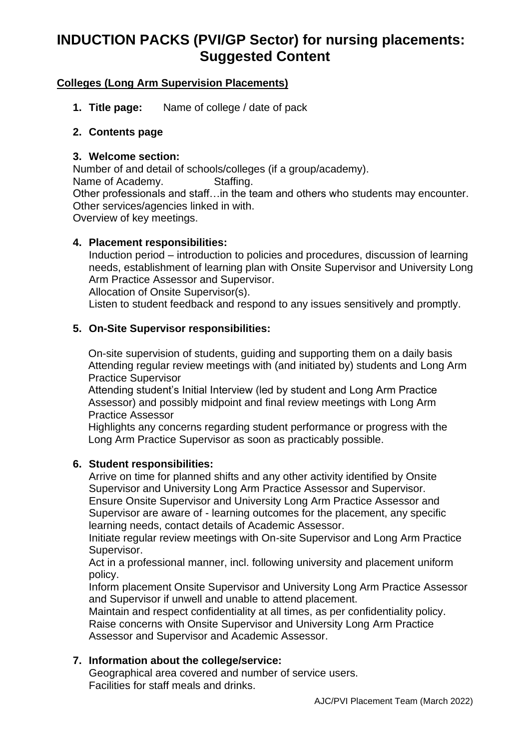## **Colleges (Long Arm Supervision Placements)**

**1. Title page:** Name of college / date of pack

#### **2. Contents page**

#### **3. Welcome section:**

Number of and detail of schools/colleges (if a group/academy). Name of Academy. Staffing. Other professionals and staff…in the team and others who students may encounter. Other services/agencies linked in with. Overview of key meetings.

## **4. Placement responsibilities:**

Induction period – introduction to policies and procedures, discussion of learning needs, establishment of learning plan with Onsite Supervisor and University Long Arm Practice Assessor and Supervisor.

Allocation of Onsite Supervisor(s).

Listen to student feedback and respond to any issues sensitively and promptly.

## **5. On-Site Supervisor responsibilities:**

On-site supervision of students, guiding and supporting them on a daily basis Attending regular review meetings with (and initiated by) students and Long Arm Practice Supervisor

Attending student's Initial Interview (led by student and Long Arm Practice Assessor) and possibly midpoint and final review meetings with Long Arm Practice Assessor

Highlights any concerns regarding student performance or progress with the Long Arm Practice Supervisor as soon as practicably possible.

#### **6. Student responsibilities:**

Arrive on time for planned shifts and any other activity identified by Onsite Supervisor and University Long Arm Practice Assessor and Supervisor. Ensure Onsite Supervisor and University Long Arm Practice Assessor and Supervisor are aware of - learning outcomes for the placement, any specific learning needs, contact details of Academic Assessor.

Initiate regular review meetings with On-site Supervisor and Long Arm Practice Supervisor.

Act in a professional manner, incl. following university and placement uniform policy.

Inform placement Onsite Supervisor and University Long Arm Practice Assessor and Supervisor if unwell and unable to attend placement.

Maintain and respect confidentiality at all times, as per confidentiality policy. Raise concerns with Onsite Supervisor and University Long Arm Practice Assessor and Supervisor and Academic Assessor.

## **7. Information about the college/service:**

Geographical area covered and number of service users. Facilities for staff meals and drinks.